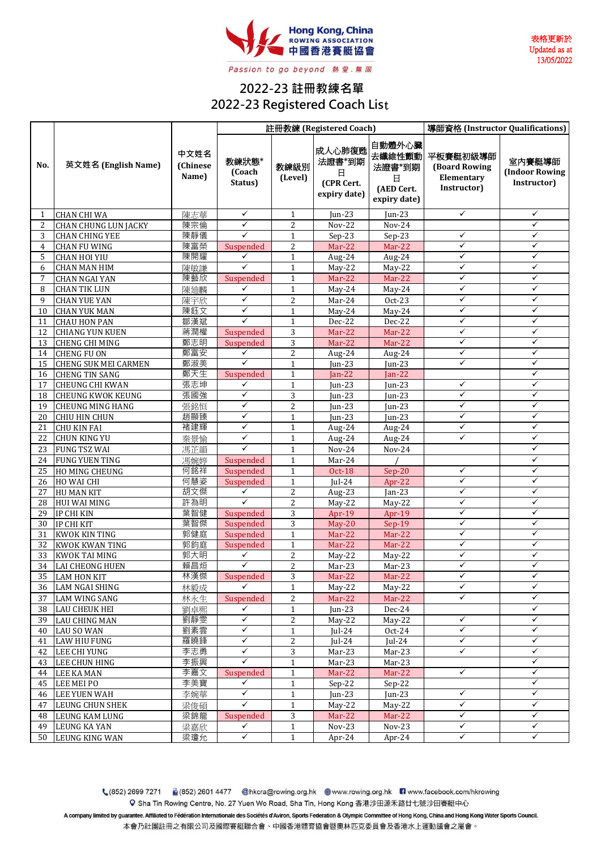

表格更新於 Updated as at 13/05/2022

## **2022-23 註冊教練名單 2022-23 Registered Coach Lis**t

|                |                                           |                           | 註冊教練 (Registered Coach)      |                   |                                                     |                                                               | 導師資格 (Instructor Qualifications)                              |                                                |
|----------------|-------------------------------------------|---------------------------|------------------------------|-------------------|-----------------------------------------------------|---------------------------------------------------------------|---------------------------------------------------------------|------------------------------------------------|
| No.            | 英文姓名 (English Name)                       | 中文姓名<br>(Chinese<br>Name) | 教練狀態*<br>(Coach<br>Status)   | 教練級別<br>(Level)   | 成人心肺復甦<br>法證書*到期<br>日<br>(CPR Cert.<br>expiry date) | 自動體外心臟<br>去纖維性顫動<br>法證書*到期<br>日<br>(AED Cert.<br>expiry date) | 平板賽艇初級導師<br><b>(Board Rowing</b><br>Elementary<br>Instructor) | 室内賽艇導師<br><b>(Indoor Rowing</b><br>Instructor) |
| 1              | <b>CHAN CHI WA</b>                        | 陳志華                       | ✓                            | $\mathbf{1}$      | Jun-23                                              | Jun-23                                                        | ✓                                                             | ✓                                              |
| 2              | <b>CHAN CHUNG LUN JACKY</b>               | 陳宗倫                       | $\checkmark$                 | $\overline{2}$    | <b>Nov-22</b>                                       | <b>Nov-24</b>                                                 |                                                               | ✓                                              |
| 3              | <b>CHAN CHING YEE</b>                     | 陳靜儀                       | $\checkmark$                 | $\mathbf{1}$      | $Sep-23$                                            | Sep-23                                                        | $\checkmark$                                                  | ✓                                              |
| $\overline{4}$ | <b>CHAN FU WING</b>                       | 陳富榮                       | Suspended                    | $\overline{c}$    | $Mar-22$                                            | Mar-22                                                        | ✓                                                             | ✓                                              |
| 5              | <b>CHAN HOI YIU</b>                       | 陳開耀                       | ✓                            | $\mathbf{1}$      | Aug-24                                              | Aug-24                                                        | $\checkmark$                                                  | $\checkmark$                                   |
| 6              | <b>CHAN MAN HIM</b>                       | 陳敏謙                       | $\checkmark$                 | $\mathbf{1}$      | $May-22$                                            | $May-22$                                                      | ✓                                                             | ✓                                              |
| 7              | <b>CHAN NGAI YAN</b>                      | 陳藝欣                       | Suspended                    | $\mathbf{1}$      | Mar-22                                              | Mar-22                                                        | $\checkmark$                                                  | $\checkmark$                                   |
| 8              | <b>CHAN TIK LUN</b>                       | 陳廸麟                       | ✓                            | $\mathbf{1}$      | May-24                                              | May-24                                                        | ✓                                                             | ✓                                              |
| 9              | <b>CHAN YUE YAN</b>                       | 陳宇欣                       | $\checkmark$                 | $\overline{c}$    | Mar-24                                              | Oct-23                                                        | ✓                                                             | ✓                                              |
| 10             | <b>CHAN YUK MAN</b>                       | 陳鈺文                       | ✓                            | $\mathbf{1}$      | $May-24$                                            | May-24                                                        | ✓                                                             | ✓                                              |
| 11             | <b>CHAU HON PAN</b>                       | 鄒漢斌                       | $\checkmark$                 | $\mathbf{1}$      | Dec-22                                              | Dec-22                                                        | ✓                                                             | ✓                                              |
| 12             | <b>CHIANG YUN KUEN</b>                    | 蔣潤權                       | Suspended                    | 3                 | $Mar-22$                                            | Mar-22                                                        | ✓                                                             | ✓                                              |
| 13             | <b>CHENG CHI MING</b>                     | 鄭志明                       | Suspended                    | 3                 | Mar-22                                              | Mar-22                                                        | ✓                                                             | ✓                                              |
| 14             | <b>CHENG FU ON</b>                        | 鄭富安                       | $\checkmark$                 | $\overline{c}$    | Aug-24                                              | Aug-24                                                        | $\checkmark$                                                  | $\checkmark$                                   |
| 15             | <b>CHENG SUK MEI CARMEN</b>               | 鄭淑美                       | $\checkmark$                 | $\mathbf{1}$      | $ un-23 $                                           | $I$ un-23                                                     | $\checkmark$                                                  | ✓                                              |
| 16             | <b>CHENG TIN SANG</b>                     | 鄭天生                       | Suspended                    | $\mathbf{1}$      | Jan-22                                              | Jan-22                                                        |                                                               | ✓                                              |
| 17             | <b>CHEUNG CHI KWAN</b>                    | 張志坤                       | ✓                            | $\mathbf{1}$      | $ un-23 $                                           | $Jun-23$                                                      | ✓                                                             | ✓                                              |
| 18             | <b>CHEUNG KWOK KEUNG</b>                  | 張國強                       | ✓                            | 3                 | Jun-23                                              | Jun-23                                                        | ✓                                                             | $\checkmark$                                   |
| 19             | <b>CHEUNG MING HANG</b>                   | 張銘恒                       | $\checkmark$                 | $\overline{c}$    | $I$ un-23                                           | Jun-23                                                        | ✓                                                             | ✓                                              |
| 20             | CHIU HIN CHUN                             | 趙顯臻                       | ✓                            | $\mathbf{1}$      | Jun-23                                              | Jun-23                                                        | ✓                                                             | ✓                                              |
| 21             | <b>CHU KIN FAI</b>                        | 褚建輝                       | $\checkmark$                 | $\mathbf{1}$      | Aug-24                                              | Aug-24                                                        | ✓                                                             | ✓                                              |
| 22             | <b>CHUN KING YU</b>                       | 秦景愉                       | $\checkmark$                 | $\mathbf{1}$      | Aug-24                                              | Aug-24                                                        | $\checkmark$                                                  | $\checkmark$                                   |
| 23             | <b>FUNG TSZ WAI</b>                       | 馮芷韻                       | $\checkmark$                 | $\mathbf{1}$      | Nov-24                                              | Nov-24                                                        |                                                               | ✓                                              |
| 24             | <b>FUNG YUEN TING</b>                     | 馮婉婷                       | Suspended                    | $\mathbf{1}$      | Mar-24                                              |                                                               |                                                               | ✓                                              |
| 25             | HO MING CHEUNG                            | 何銘祥                       | Suspended                    | $\mathbf{1}$      | <b>Oct-18</b>                                       | $Sep-20$                                                      | ✓                                                             | ✓                                              |
| 26             | HO WAI CHI                                | 何慧姿                       | Suspended                    | $\mathbf{1}$      | Jul-24                                              | Apr-22                                                        | ✓                                                             | ✓                                              |
| 27             | <b>HU MAN KIT</b>                         | 胡文傑                       | $\checkmark$                 | $\overline{c}$    | Aug-23                                              | $Jan-23$                                                      | ✓                                                             | ✓                                              |
| 28             | <b>HUI WAI MING</b>                       | 許為明                       | $\checkmark$                 | $\overline{c}$    | May-22                                              | May-22                                                        | ✓                                                             | $\checkmark$                                   |
| 29             | <b>IP CHI KIN</b>                         | 葉智健                       | Suspended                    | 3                 | Apr-19                                              | Apr-19                                                        | ✓                                                             | ✓                                              |
| 30             | IP CHI KIT                                | 葉智傑                       | Suspended                    | 3                 | $May-20$                                            | Sep-19                                                        | ✓                                                             | ✓                                              |
| 31             | <b>KWOK KIN TING</b>                      | 郭健庭                       | Suspended                    | $\mathbf{1}$      | Mar-22                                              | Mar-22                                                        | ✓                                                             | ✓                                              |
| 32             | <b>KWOK KWAN TING</b>                     | 郭鈞庭                       | Suspended                    | $\mathbf{1}$      | Mar-22                                              | Mar-22                                                        | $\checkmark$                                                  | ✓                                              |
| 33             | <b>KWOK TAI MING</b>                      | 郭大明                       | ✓<br>$\checkmark$            | $\overline{2}$    | May-22                                              | May-22                                                        | ✓                                                             | ✓                                              |
| 34             | <b>LAI CHEONG HUEN</b>                    | 賴昌烜                       |                              | 2                 | Mar-23                                              | Mar-23                                                        | $\checkmark$<br>✓                                             | $\checkmark$<br>✓                              |
|                | 35 LAM HON KIT                            | 林漢傑                       | Suspended<br>✓               | $\overline{3}$    | $Mar-22$                                            | Mar-22                                                        | $\checkmark$                                                  | $\checkmark$                                   |
| 36             | LAM NGAI SHING                            | 林毅成                       |                              | $\mathbf{1}$      | $May-22$                                            | $May-22$                                                      | ✓                                                             | ✓                                              |
| 37             | <b>LAM WING SANG</b>                      | 林永生                       | Suspended<br>✓               | 2                 | Mar-22                                              | $Mar-22$                                                      |                                                               | $\checkmark$                                   |
| 38             | <b>LAU CHEUK HEI</b>                      | 劉卓熙                       | $\checkmark$                 | $\mathbf{1}$      | Jun-23                                              | Dec-24                                                        | $\checkmark$                                                  | $\checkmark$                                   |
| 39             | <b>LAU CHING MAN</b>                      | 劉靜雯                       |                              | 2                 | $May-22$                                            | May-22                                                        | ✓                                                             | $\checkmark$                                   |
| 40             | <b>LAU SO WAN</b>                         | 劉素雲<br>羅曉鋒                | $\checkmark$<br>$\checkmark$ | $\mathbf{1}$      | Jul-24<br>$ ul-24$                                  | $Oct-24$                                                      | $\checkmark$                                                  | ✓                                              |
| 41             | <b>LAW HIU FUNG</b>                       | 李志勇                       | ✓                            | 2                 |                                                     | Jul-24                                                        | ✓                                                             | ✓                                              |
| 42<br>43       | <b>LEE CHI YUNG</b>                       | 李振興                       | ✓                            | 3<br>$\mathbf{1}$ | Mar-23<br>Mar-23                                    | Mar-23<br>Mar-23                                              |                                                               | ✓                                              |
| 44             | <b>LEE CHUN HING</b><br><b>LEE KA MAN</b> | 李嘉文                       | Suspended                    | $\mathbf{1}$      | Mar-22                                              | Mar-22                                                        | ✓                                                             | ✓                                              |
| 45             | LEE MEI PO                                | 李美寶                       | ✓                            | $\mathbf{1}$      | $Sep-22$                                            | $Sep-22$                                                      |                                                               | ✓                                              |
| 46             | <b>LEE YUEN WAH</b>                       | 李婉華                       | ✓                            | 1                 | Jun-23                                              | Jun-23                                                        | ✓                                                             | ✓                                              |
| 47             | <b>LEUNG CHUN SHEK</b>                    | 梁俊碩                       | $\checkmark$                 | $\mathbf{1}$      | $May-22$                                            | May-22                                                        | $\checkmark$                                                  | $\checkmark$                                   |
| 48             | <b>LEUNG KAM LUNG</b>                     | 梁錦龍                       | Suspended                    | 3                 | Mar-22                                              | $Mar-22$                                                      | $\checkmark$                                                  | ✓                                              |
| 49             | <b>LEUNG KA YAN</b>                       | 梁嘉欣                       | ✓                            | $\mathbf 1$       | Nov-23                                              | Nov-23                                                        | $\checkmark$                                                  | ✓                                              |
| 50             | <b>LEUNG KING WAN</b>                     | 梁瓊允                       | $\checkmark$                 | $\mathbf{1}$      | Apr-24                                              | Apr-24                                                        | ✓                                                             | $\checkmark$                                   |
|                |                                           |                           |                              |                   |                                                     |                                                               |                                                               |                                                |

(852) 2699 7271 (852) 2601 4477 @hkcra@rowing.org.hk @www.rowing.org.hk nww.facebook.com/hkrowing Q Sha Tin Rowing Centre, No. 27 Yuen Wo Road, Sha Tin, Hong Kong 香港沙田源禾路廿七號沙田賽艇中心

A company limited by guarantee. Affiliated to Fédération Internationale des Sociétés d'Aviron, Sports Federation & Olympic Committee of Hong Kong, China and Hong Kong Water Sports Council. 本會乃社團註冊之有限公司及國際賽艇聯合會、中國香港體育協會暨奧林匹克委員會及香港水上運動議會之屬會。